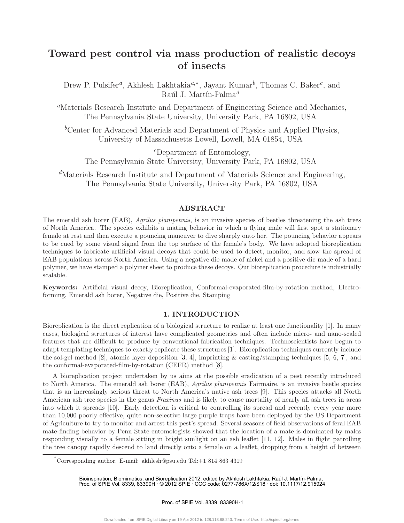# **Toward pest control via mass production of realistic decoys of insects**

Drew P. Pulsifer*a*, Akhlesh Lakhtakia*a,*∗, Jayant Kumar*b*, Thomas C. Baker*c*, and Raúl J. Martín-Palma<sup>d</sup>

*<sup>a</sup>*Materials Research Institute and Department of Engineering Science and Mechanics, The Pennsylvania State University, University Park, PA 16802, USA

<sup>b</sup>Center for Advanced Materials and Department of Physics and Applied Physics, University of Massachusetts Lowell, Lowell, MA 01854, USA

*<sup>c</sup>*Department of Entomology, The Pennsylvania State University, University Park, PA 16802, USA

*<sup>d</sup>*Materials Research Institute and Department of Materials Science and Engineering, The Pennsylvania State University, University Park, PA 16802, USA

## **ABSTRACT**

The emerald ash borer (EAB), *Agrilus planipennis*, is an invasive species of beetles threatening the ash trees of North America. The species exhibits a mating behavior in which a flying male will first spot a stationary female at rest and then execute a pouncing maneuver to dive sharply onto her. The pouncing behavior appears to be cued by some visual signal from the top surface of the female's body. We have adopted bioreplication techniques to fabricate artificial visual decoys that could be used to detect, monitor, and slow the spread of EAB populations across North America. Using a negative die made of nickel and a positive die made of a hard polymer, we have stamped a polymer sheet to produce these decoys. Our bioreplication procedure is industrially scalable.

**Keywords:** Artificial visual decoy, Bioreplication, Conformal-evaporated-film-by-rotation method, Electroforming, Emerald ash borer, Negative die, Positive die, Stamping

## **1. INTRODUCTION**

Bioreplication is the direct replication of a biological structure to realize at least one functionality [1]. In many cases, biological structures of interest have complicated geometries and often include micro- and nano-scaled features that are difficult to produce by conventional fabrication techniques. Technoscientists have begun to adapt templating techniques to exactly replicate these structures [1]. Bioreplication techniques currently include the sol-gel method [2], atomic layer deposition [3, 4], imprinting & casting/stamping techniques [5, 6, 7], and the conformal-evaporated-film-by-rotation (CEFR) method [8].

A bioreplication project undertaken by us aims at the possible eradication of a pest recently introduced to North America. The emerald ash borer (EAB), *Agrilus planipennis* Fairmaire, is an invasive beetle species that is an increasingly serious threat to North America's native ash trees [9]. This species attacks all North American ash tree species in the genus *Fraxinus* and is likely to cause mortality of nearly all ash trees in areas into which it spreads [10]. Early detection is critical to controlling its spread and recently every year more than 10,000 poorly effective, quite non-selective large purple traps have been deployed by the US Department of Agriculture to try to monitor and arrest this pest's spread. Several seasons of field observations of feral EAB mate-finding behavior by Penn State entomologists showed that the location of a mate is dominated by males responding visually to a female sitting in bright sunlight on an ash leaflet [11, 12]. Males in flight patrolling the tree canopy rapidly descend to land directly onto a female on a leaflet, dropping from a height of between

Bioinspiration, Biomimetics, and Bioreplication 2012, edited by Akhlesh Lakhtakia, Raúl J. Martín-Palma, Proc. of SPIE Vol. 8339, 83390H · © 2012 SPIE · CCC code: 0277-786X/12/\$18 · doi: 10.1117/12.915924

Proc. of SPIE Vol. 8339 83390H-1

<sup>∗</sup> Corresponding author. E-mail: akhlesh@psu.edu Tel:+1 814 863 4319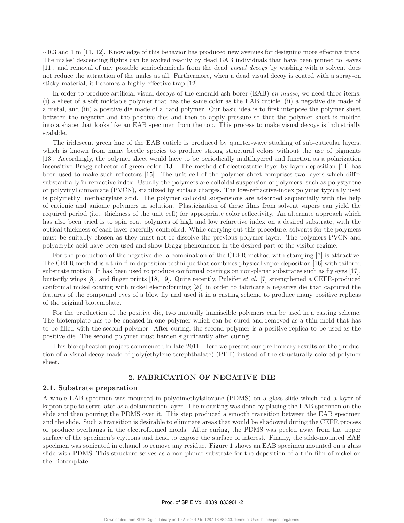$\sim$ 0.3 and 1 m [11, 12]. Knowledge of this behavior has produced new avenues for designing more effective traps. The males' descending flights can be evoked readily by dead EAB individuals that have been pinned to leaves [11], and removal of any possible semiochemicals from the dead *visual decoys* by washing with a solvent does not reduce the attraction of the males at all. Furthermore, when a dead visual decoy is coated with a spray-on sticky material, it becomes a highly effective trap [12].

In order to produce artificial visual decoys of the emerald ash borer (EAB) *en masse*, we need three items: (i) a sheet of a soft moldable polymer that has the same color as the EAB cuticle, (ii) a negative die made of a metal, and (iii) a positive die made of a hard polymer. Our basic idea is to first interpose the polymer sheet between the negative and the positive dies and then to apply pressure so that the polymer sheet is molded into a shape that looks like an EAB specimen from the top. This process to make visual decoys is industrially scalable.

The iridescent green hue of the EAB cuticle is produced by quarter-wave stacking of sub-cuticular layers, which is known from many beetle species to produce strong structural colors without the use of pigments [13]. Accordingly, the polymer sheet would have to be periodically multilayered and function as a polarization insensitive Bragg reflector of green color [13]. The method of electrostatic layer-by-layer deposition [14] has been used to make such reflectors [15]. The unit cell of the polymer sheet comprises two layers which differ substantially in refractive index. Usually the polymers are colloidal suspension of polymers, such as polystyrene or polyvinyl cinnamate (PVCN), stabilized by surface charges. The low-refractive-index polymer typically used is polymethyl methacrylate acid. The polymer colloidal suspensions are adsorbed sequentially with the help of cationic and anionic polymers in solution. Plasticization of these films from solvent vapors can yield the required period (i.e., thickness of the unit cell) for appropriate color reflectivity. An alternate approach which has also been tried is to spin coat polymers of high and low refarctive index on a desired substrate, with the optical thickness of each layer carefully controlled. While carrying out this procedure, solvents for the polymers must be suitably chosen as they must not re-dissolve the previous polymer layer. The polymers PVCN and polyacrylic acid have been used and show Bragg phenomenon in the desired part of the visible regime.

For the production of the negative die, a combination of the CEFR method with stamping [7] is attractive. The CEFR method is a thin-film deposition technique that combines physical vapor deposition [16] with tailored substrate motion. It has been used to produce conformal coatings on non-planar substrates such as fly eyes [17], butterfly wings [8], and finger prints [18, 19]. Quite recently, Pulsifer *et al.* [7] strengthened a CEFR-produced conformal nickel coating with nickel electroforming [20] in order to fabricate a negative die that captured the features of the compound eyes of a blow fly and used it in a casting scheme to produce many positive replicas of the original biotemplate.

For the production of the positive die, two mutually immiscible polymers can be used in a casting scheme. The biotemplate has to be encased in one polymer which can be cured and removed as a thin mold that has to be filled with the second polymer. After curing, the second polymer is a positive replica to be used as the positive die. The second polymer must harden significantly after curing.

This bioreplication project commenced in late 2011. Here we present our preliminary results on the production of a visual decoy made of poly(ethylene terephthalate) (PET) instead of the structurally colored polymer sheet.

## **2. FABRICATION OF NEGATIVE DIE**

### **2.1. Substrate preparation**

A whole EAB specimen was mounted in polydimethylsiloxane (PDMS) on a glass slide which had a layer of kapton tape to serve later as a delamination layer. The mounting was done by placing the EAB specimen on the slide and then pouring the PDMS over it. This step produced a smooth transition between the EAB specimen and the slide. Such a transition is desirable to eliminate areas that would be shadowed during the CEFR process or produce overhangs in the electroformed molds. After curing, the PDMS was peeled away from the upper surface of the specimen's elytrons and head to expose the surface of interest. Finally, the slide-mounted EAB specimen was sonicated in ethanol to remove any residue. Figure 1 shows an EAB specimen mounted on a glass slide with PDMS. This structure serves as a non-planar substrate for the deposition of a thin film of nickel on the biotemplate.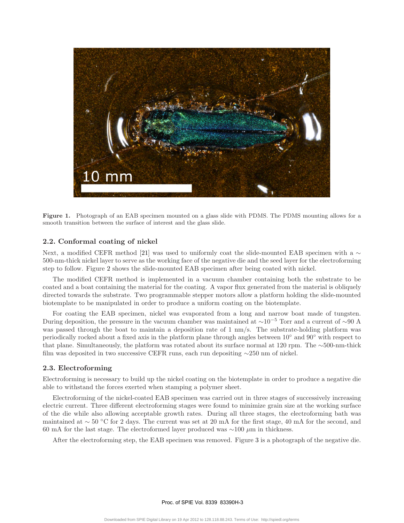

**Figure 1.** Photograph of an EAB specimen mounted on a glass slide with PDMS. The PDMS mounting allows for a smooth transition between the surface of interest and the glass slide.

## **2.2. Conformal coating of nickel**

Next, a modified CEFR method [21] was used to uniformly coat the slide-mounted EAB specimen with a  $\sim$ 500-nm-thick nickel layer to serve as the working face of the negative die and the seed layer for the electroforming step to follow. Figure 2 shows the slide-mounted EAB specimen after being coated with nickel.

The modified CEFR method is implemented in a vacuum chamber containing both the substrate to be coated and a boat containing the material for the coating. A vapor flux generated from the material is obliquely directed towards the substrate. Two programmable stepper motors allow a platform holding the slide-mounted biotemplate to be manipulated in order to produce a uniform coating on the biotemplate.

For coating the EAB specimen, nickel was evaporated from a long and narrow boat made of tungsten. During deposition, the pressure in the vacuum chamber was maintained at  $\sim 10^{-5}$  Torr and a current of  $\sim 90$  A was passed through the boat to maintain a deposition rate of 1 nm/s. The substrate-holding platform was periodically rocked about a fixed axis in the platform plane through angles between 10◦ and 90◦ with respect to that plane. Simultaneously, the platform was rotated about its surface normal at 120 rpm. The ∼500-nm-thick film was deposited in two successive CEFR runs, each run depositing ∼250 nm of nickel.

## **2.3. Electroforming**

Electroforming is necessary to build up the nickel coating on the biotemplate in order to produce a negative die able to withstand the forces exerted when stamping a polymer sheet.

Electroforming of the nickel-coated EAB specimen was carried out in three stages of successively increasing electric current. Three different electroforming stages were found to minimize grain size at the working surface of the die while also allowing acceptable growth rates. During all three stages, the electroforming bath was maintained at ∼ 50 ◦C for 2 days. The current was set at 20 mA for the first stage, 40 mA for the second, and 60 mA for the last stage. The electroformed layer produced was ∼100 *µ*m in thickness.

After the electroforming step, the EAB specimen was removed. Figure 3 is a photograph of the negative die.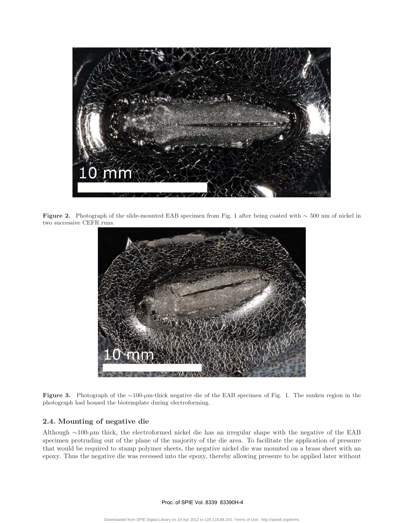

**Figure 2.** Photograph of the slide-mounted EAB specimen from Fig. <sup>1</sup> after being coated with <sup>∼</sup> 500 nm of nickel in two successive CEFR runs.



**Figure 3.** Photograph of the <sup>∼</sup>100-*µ*m-thick negative die of the EAB specimen of Fig. 1. The sunken region in the photograph had housed the biotemplate during electroforming.

# **2.4. Mounting of negative die**

Although ∼100-*µ*m thick, the electroformed nickel die has an irregular shape with the negative of the EAB specimen protruding out of the plane of the majority of the die area. To facilitate the application of pressure that would be required to stamp polymer sheets, the negative nickel die was mounted on a brass sheet with an epoxy. Thus the negative die was recessed into the epoxy, thereby allowing pressure to be applied later without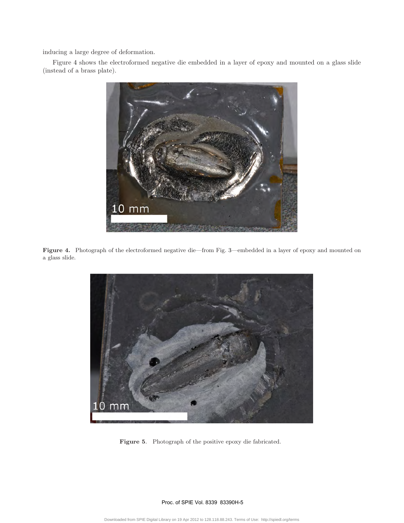inducing a large degree of deformation.

Figure 4 shows the electroformed negative die embedded in a layer of epoxy and mounted on a glass slide (instead of a brass plate).

![](_page_4_Picture_2.jpeg)

Figure 4. Photograph of the electroformed negative die—from Fig. 3—embedded in a layer of epoxy and mounted on a glass slide.

![](_page_4_Picture_4.jpeg)

**Figure 5**. Photograph of the positive epoxy die fabricated.

Proc. of SPIE Vol. 8339 83390H-5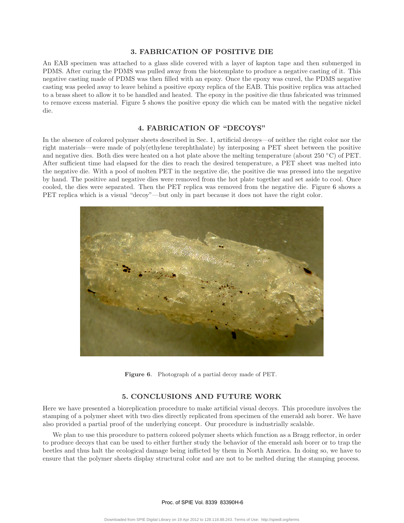## **3. FABRICATION OF POSITIVE DIE**

An EAB specimen was attached to a glass slide covered with a layer of kapton tape and then submerged in PDMS. After curing the PDMS was pulled away from the biotemplate to produce a negative casting of it. This negative casting made of PDMS was then filled with an epoxy. Once the epoxy was cured, the PDMS negative casting was peeled away to leave behind a positive epoxy replica of the EAB. This positive replica was attached to a brass sheet to allow it to be handled and heated. The epoxy in the positive die thus fabricated was trimmed to remove excess material. Figure 5 shows the positive epoxy die which can be mated with the negative nickel die.

## **4. FABRICATION OF "DECOYS"**

In the absence of colored polymer sheets described in Sec. 1, artificial decoys—of neither the right color nor the right materials—were made of poly(ethylene terephthalate) by interposing a PET sheet between the positive and negative dies. Both dies were heated on a hot plate above the melting temperature (about 250 ◦C) of PET. After sufficient time had elapsed for the dies to reach the desired temperature, a PET sheet was melted into the negative die. With a pool of molten PET in the negative die, the positive die was pressed into the negative by hand. The positive and negative dies were removed from the hot plate together and set aside to cool. Once cooled, the dies were separated. Then the PET replica was removed from the negative die. Figure 6 shows a PET replica which is a visual "decoy"—but only in part because it does not have the right color.

![](_page_5_Picture_4.jpeg)

**Figure 6**. Photograph of a partial decoy made of PET.

## **5. CONCLUSIONS AND FUTURE WORK**

Here we have presented a bioreplication procedure to make artificial visual decoys. This procedure involves the stamping of a polymer sheet with two dies directly replicated from specimen of the emerald ash borer. We have also provided a partial proof of the underlying concept. Our procedure is industrially scalable.

We plan to use this procedure to pattern colored polymer sheets which function as a Bragg reflector, in order to produce decoys that can be used to either further study the behavior of the emerald ash borer or to trap the beetles and thus halt the ecological damage being inflicted by them in North America. In doing so, we have to ensure that the polymer sheets display structural color and are not to be melted during the stamping process.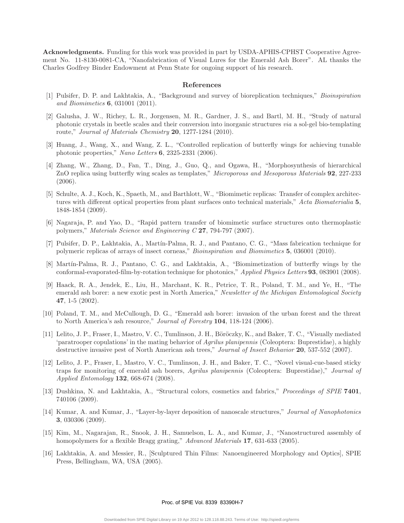**Acknowledgments.** Funding for this work was provided in part by USDA-APHIS-CPHST Cooperative Agreement No. 11-8130-0081-CA, "Nanofabrication of Visual Lures for the Emerald Ash Borer". AL thanks the Charles Godfrey Binder Endowment at Penn State for ongoing support of his research.

#### **References**

- [1] Pulsifer, D. P. and Lakhtakia, A., "Background and survey of bioreplication techniques," *Bioinspiration and Biomimetics* **6**, 031001 (2011).
- [2] Galusha, J. W., Richey, L. R., Jorgensen, M. R., Gardner, J. S., and Bartl, M. H., "Study of natural photonic crystals in beetle scales and their conversion into inorganic structures *via* a sol-gel bio-templating route," *Journal of Materials Chemistry* **20**, 1277-1284 (2010).
- [3] Huang, J., Wang, X., and Wang, Z. L., "Controlled replication of butterfly wings for achieving tunable photonic properties," *Nano Letters* **6**, 2325-2331 (2006).
- [4] Zhang, W., Zhang, D., Fan, T., Ding, J., Guo, Q., and Ogawa, H., "Morphosynthesis of hierarchical ZnO replica using butterfly wing scales as templates," *Microporous and Mesoporous Materials* **92**, 227-233 (2006).
- [5] Schulte, A. J., Koch, K., Spaeth, M., and Barthlott, W., "Biomimetic replicas: Transfer of complex architectures with different optical properties from plant surfaces onto technical materials," *Acta Biomaterialia* **5**, 1848-1854 (2009).
- [6] Nagaraja, P. and Yao, D., "Rapid pattern transfer of biomimetic surface structures onto thermoplastic polymers," *Materials Science and Engineering C* **27**, 794-797 (2007).
- [7] Pulsifer, D. P., Lakhtakia, A., Mart´ın-Palma, R. J., and Pantano, C. G., "Mass fabrication technique for polymeric replicas of arrays of insect corneas," *Bioinspiration and Biomimetics* **5**, 036001 (2010).
- [8] Mart´ın-Palma, R. J., Pantano, C. G., and Lakhtakia, A., "Biomimetization of butterfly wings by the conformal-evaporated-film-by-rotation technique for photonics," *Applied Physics Letters* **93**, 083901 (2008).
- [9] Haack, R. A., Jendek, E., Liu, H., Marchant, K. R., Petrice, T. R., Poland, T. M., and Ye, H., "The emerald ash borer: a new exotic pest in North America," *Newsletter of the Michigan Entomological Society* **47**, 1-5 (2002).
- [10] Poland, T. M., and McCullough, D. G., "Emerald ash borer: invasion of the urban forest and the threat to North America's ash resource," *Journal of Forestry* **104**, 118-124 (2006).
- [11] Lelito, J. P., Fraser, I., Mastro, V. C., Tumlinson, J. H., Böröczky, K., and Baker, T. C., "Visually mediated 'paratrooper copulations' in the mating behavior of *Agrilus planipennis* (Coleoptera: Buprestidae), a highly destructive invasive pest of North American ash trees," *Journal of Insect Behavior* **20**, 537-552 (2007).
- [12] Lelito, J. P., Fraser, I., Mastro, V. C., Tumlinson, J. H., and Baker, T. C., "Novel visual-cue-based sticky traps for monitoring of emerald ash borers, *Agrilus planipennis* (Coleoptera: Buprestidae)," *Journal of Applied Entomology* **132**, 668-674 (2008).
- [13] Dushkina, N. and Lakhtakia, A., "Structural colors, cosmetics and fabrics," *Proceedings of SPIE* **7401**, 740106 (2009).
- [14] Kumar, A. and Kumar, J., "Layer-by-layer deposition of nanoscale structures," *Journal of Nanophotonics* **3**, 030306 (2009).
- [15] Kim, M., Nagarajan, R., Snook, J. H., Samuelson, L. A., and Kumar, J., "Nanostructured assembly of homopolymers for a flexible Bragg grating," *Advanced Materials* **17**, 631-633 (2005).
- [16] Lakhtakia, A. and Messier, R., [Sculptured Thin Films: Nanoengineered Morphology and Optics], SPIE Press, Bellingham, WA, USA (2005).